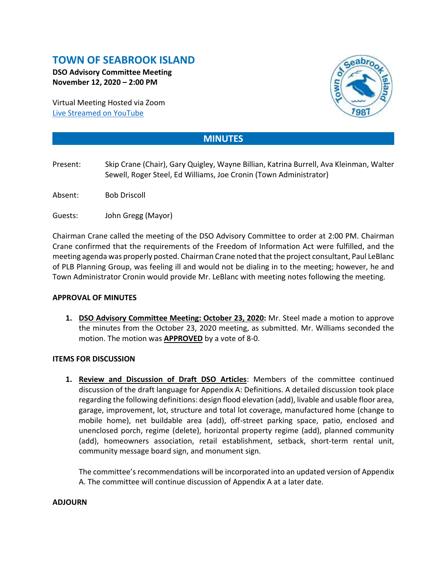# **TOWN OF SEABROOK ISLAND**

**DSO Advisory Committee Meeting November 12, 2020 – 2:00 PM**

Virtual Meeting Hosted via Zoom [Live Streamed on](https://www.youtube.com/channel/UCIkF87knEApHD1q0kGlaGZg) YouTube



## **MINUTES**

- Present: Skip Crane (Chair), Gary Quigley, Wayne Billian, Katrina Burrell, Ava Kleinman, Walter Sewell, Roger Steel, Ed Williams, Joe Cronin (Town Administrator)
- Absent: Bob Driscoll
- Guests: John Gregg (Mayor)

Chairman Crane called the meeting of the DSO Advisory Committee to order at 2:00 PM. Chairman Crane confirmed that the requirements of the Freedom of Information Act were fulfilled, and the meeting agenda was properly posted. Chairman Crane noted that the project consultant, Paul LeBlanc of PLB Planning Group, was feeling ill and would not be dialing in to the meeting; however, he and Town Administrator Cronin would provide Mr. LeBlanc with meeting notes following the meeting.

#### **APPROVAL OF MINUTES**

**1. DSO Advisory Committee Meeting: October 23, 2020:** Mr. Steel made a motion to approve the minutes from the October 23, 2020 meeting, as submitted. Mr. Williams seconded the motion. The motion was **APPROVED** by a vote of 8-0.

### **ITEMS FOR DISCUSSION**

**1. Review and Discussion of Draft DSO Articles**: Members of the committee continued discussion of the draft language for Appendix A: Definitions. A detailed discussion took place regarding the following definitions: design flood elevation (add), livable and usable floor area, garage, improvement, lot, structure and total lot coverage, manufactured home (change to mobile home), net buildable area (add), off-street parking space, patio, enclosed and unenclosed porch, regime (delete), horizontal property regime (add), planned community (add), homeowners association, retail establishment, setback, short-term rental unit, community message board sign, and monument sign.

The committee's recommendations will be incorporated into an updated version of Appendix A. The committee will continue discussion of Appendix A at a later date.

#### **ADJOURN**